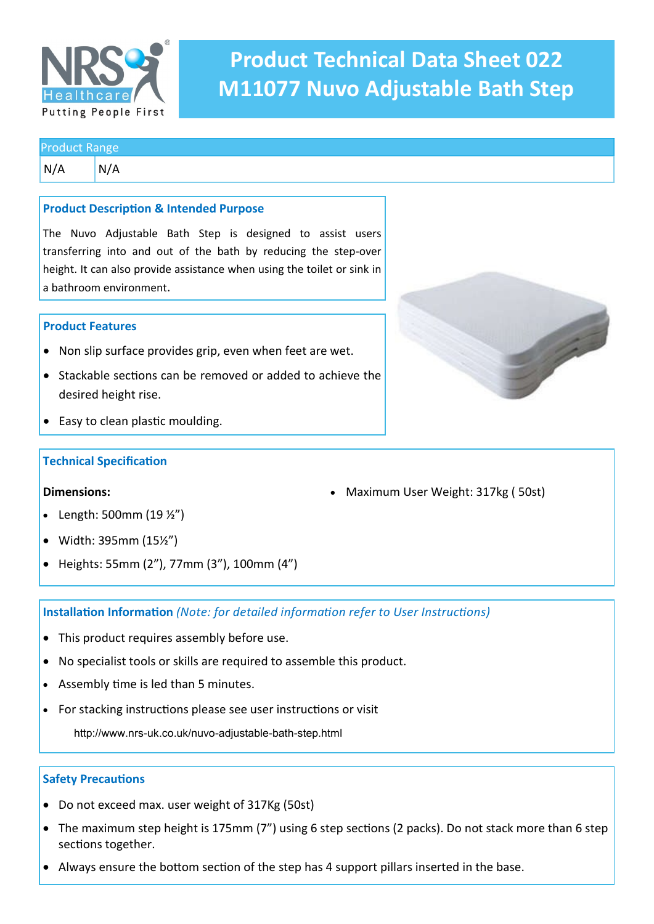

# **Product Technical Data Sheet 022 M11077 Nuvo Adjustable Bath Step**

#### Product Range

 $N/A$   $N/A$ 

#### **Product Description & Intended Purpose**

The Nuvo Adjustable Bath Step is designed to assist users transferring into and out of the bath by reducing the step-over height. It can also provide assistance when using the toilet or sink in a bathroom environment.

#### **Product Features**

- Non slip surface provides grip, even when feet are wet.
- Stackable sections can be removed or added to achieve the desired height rise.
- Easy to clean plastic moulding.

#### **Technical Specification**

#### **Dimensions:**

- Length:  $500$ mm (19  $\frac{1}{2}$ ")
- Width: 395mm (15½")
- Heights: 55mm (2"), 77mm (3"), 100mm (4")

# **Installation Information** *(Note: for detailed information refer to User Instructions)*

- This product requires assembly before use.
- No specialist tools or skills are required to assemble this product.
- Assembly time is led than 5 minutes.
- For stacking instructions please see user instructions or visit

http://www.nrs-uk.co.uk/nuvo-adjustable-bath-step.html

#### **Safety Precautions**

- Do not exceed max. user weight of 317Kg (50st)
- The maximum step height is 175mm (7") using 6 step sections (2 packs). Do not stack more than 6 step sections together.
- Always ensure the bottom section of the step has 4 support pillars inserted in the base.



Maximum User Weight: 317kg ( 50st)